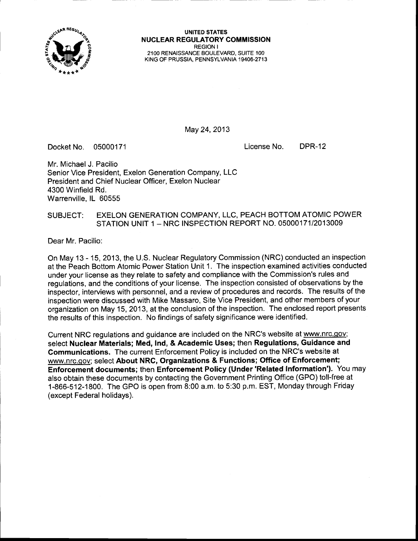

UNITED STATES<br>
WILLEAR REGULATORY <sup>N</sup>UCLEAR REGULATORY COMMISSION REGION <sup>I</sup> 21OO RENAISSANCE BOULEVARO, SUITE 1OO KING OF PRUSSIA. PENNSYLVANIA 19406.2713

May 24,2013

Docket No. 05000171 License No. DPR-12

Mr. Michael J. Pacilio Senior Vice President, Exelon Generation Company, LLC President and Chief Nuclear Officer. Exelon Nuclear 4300 Winfield Rd. Warrenville, lL 60555

### SUBJECT: EXELON GENERATION COMPANY, LLC, PEACH BOTTOM ATOMIC POWER STATION UNIT 1 - NRC INSPECTION REPORT NO. 05000171/2013009

Dear Mr. Pacilio:

On May 13 - 15, 2013, {he U.S. Nuclear Regulatory Commission (NRC) conducted an inspection at the Peach Bottom Atomic Power Station Unit 1. The inspection examined activities conducted under your license as they relate to safety and compliance with the Commission's rules and regulations, and the conditions of your license. The inspection consisted of observations by the inspector, interviews with personnel, and a review of procedures and records. The results of the inspection were discussed with Mike Massaro, Site Vice President, and other members of your organization on May 15,2013, at the conclusion of the inspection. The enclosed report presents the results of this inspection. No findings of safety significance were identified.

Current NRC regulations and guidance are included on the NRC's website at www.nrc.gov; select Nuclear Materials; Med, Ind, & Academic Uses; then Regulations, Guidance and Gommunications. The current Enforcement Policy is included on the NRC's website at www.nrc.qov; select About NRC, Organizations & Functions; Office of Enforcement; Enforcement documents; then Enforcement Policy (Under'Related Information'). You may also obtain these documents by contacting the Government Printing Office (GPO) toll-free at 1-866-512-1800. The GPO is open from 8:00 a.m. to 5:30 p.m. EST, Monday through Friday (except Federal holidays).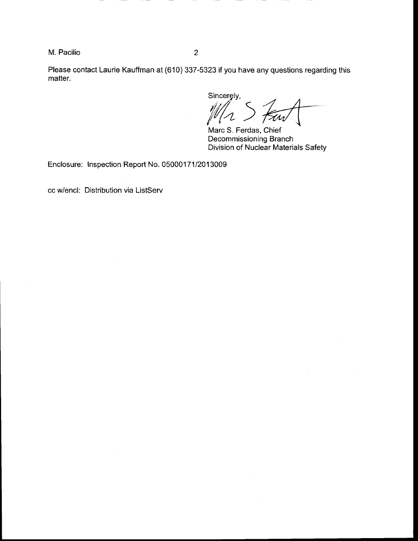M. Pacilio <sup>2</sup>

Please contact Laurie Kauffman at (610) 337-5323 if you have any questions regarding this matter.

Sincerely,

Marc S. Ferdas, Chief Decommissioning Branch Division of Nuclear Materials Safety

Enclosure: Inspection Report No. 05000171/2013009

cc w/encl: Distribution via ListServ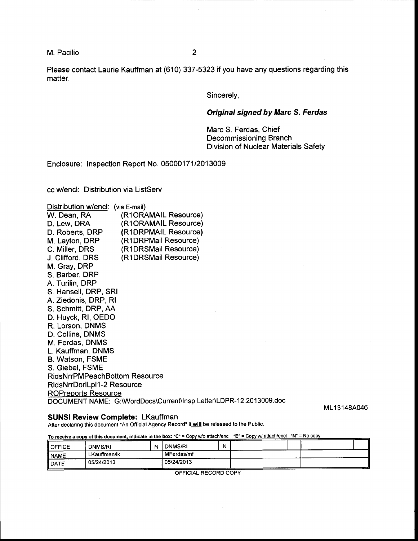M. Pacilio <sup>2</sup>

Please contact Laurie Kauffman at (610) 337-5323 if you have any questions regarding this matter.

Sincerely,

### Original signed by Marc S. Ferdas

Marc S. Ferdas, Chief Decommissioning Branch Division of Nuclear Materials Safety

Enclosure: Inspection Report No. 0500017112013009

cc w/encl: Distribution via ListServ

| Distribution w/encl: (via E-mail)    |                                                                    |
|--------------------------------------|--------------------------------------------------------------------|
| W. Dean, RA                          | (R1ORAMAIL Resource)                                               |
| D. Lew, DRA                          | (R1ORAMAIL Resource)                                               |
| D. Roberts, DRP                      | (R1DRPMAIL Resource)                                               |
| M. Layton, DRP                       | (R1DRPMail Resource)                                               |
| C. Miller, DRS                       | (R1DRSMail Resource)                                               |
| J. Clifford, DRS                     | (R1DRSMail Resource)                                               |
| M. Gray, DRP                         |                                                                    |
| S. Barber, DRP                       |                                                                    |
| A. Turilin, DRP                      |                                                                    |
| S. Hansell, DRP, SRI                 |                                                                    |
| A. Ziedonis, DRP, RI                 |                                                                    |
| S. Schmitt, DRP, AA                  |                                                                    |
| D. Huyck, RI, OEDO                   |                                                                    |
| R. Lorson, DNMS                      |                                                                    |
| D. Collins, DNMS                     |                                                                    |
| M. Ferdas, DNMS<br>L. Kauffman, DNMS |                                                                    |
| B. Watson, FSME                      |                                                                    |
| S. Giebel, FSME                      |                                                                    |
| <b>RidsNrrPMPeachBottom Resource</b> |                                                                    |
| RidsNrrDorlLpl1-2 Resource           |                                                                    |
| <b>ROPreports Resource</b>           |                                                                    |
|                                      | DOCUMENT NAME: G:\WordDocs\Current\Insp Letter\LDPR-12.2013009.doc |

ML13148A046

### SUNSI Review Complete: LKauffman

After declaring this document "An Official Agency Record" it will be released to the Public.

To receive a copy of this document, indicate in the box: "C" = Copy w/o attach/encl "E" = Copy w/ attach/encl "N" = No copy

| II OFFICE | DNMS/RI      | N | DNMS/RI    | N |  |  |
|-----------|--------------|---|------------|---|--|--|
| ll NAME   | LKauffman/lk |   | MFerdas/mf |   |  |  |
| II DATE   | 05/24/2013   |   | 05/24/2013 |   |  |  |

OFFICIAL RECORD COPY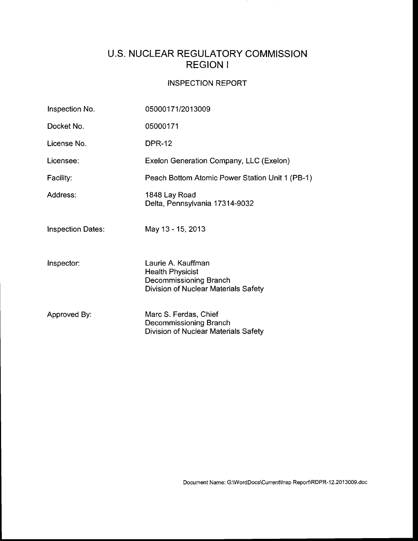# U.S. NUCLEAR REGULATORY COMMISSION REGION <sup>I</sup>

## INSPECTION REPORT

| Inspection No.           | 05000171/2013009                                                                                                |
|--------------------------|-----------------------------------------------------------------------------------------------------------------|
| Docket No.               | 05000171                                                                                                        |
| License No.              | <b>DPR-12</b>                                                                                                   |
| Licensee:                | Exelon Generation Company, LLC (Exelon)                                                                         |
| Facility:                | Peach Bottom Atomic Power Station Unit 1 (PB-1)                                                                 |
| Address:                 | 1848 Lay Road<br>Delta, Pennsylvania 17314-9032                                                                 |
| <b>Inspection Dates:</b> | May 13 - 15, 2013                                                                                               |
| Inspector:               | Laurie A. Kauffman<br><b>Health Physicist</b><br>Decommissioning Branch<br>Division of Nuclear Materials Safety |
| Approved By:             | Marc S. Ferdas, Chief<br>Decommissioning Branch<br>Division of Nuclear Materials Safety                         |

Document Name: G:\WordDocs\Current\Insp Report\RDPR-12.2013009.doc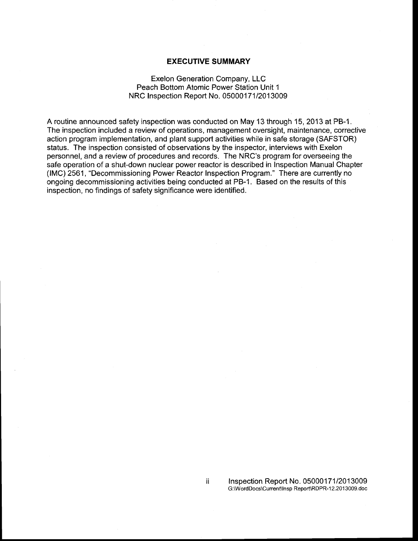## EXECUTIVE SUMMARY

### Exelon Generation Company, LLC Peach Bottom Atomic Power Station Unit <sup>1</sup> NRC Inspection Report No. 0500017112013009

A routine announced safety inspection was conducted on May 13 through 15,2013 at PB-1 . The inspection included a review of operations, management oversight, maintenance, corrective action program implementation, and plant support activities while in safe storage (SAFSTOR) status. The inspection consisted of observations by the inspector, interviews with Exelon personnel, and a review of procedures and records. The NRC's program for overseeing the safe operation of a shut-down nuclear power reactor is described in Inspection Manual Chapter (IMC) 2561, "Decommissioning Power Reactor Inspection Program." There are currently no ongoing decommissioning activities being conducted at PB-1. Based on the results of this inspection, no findings of safety significance were identified.

ii.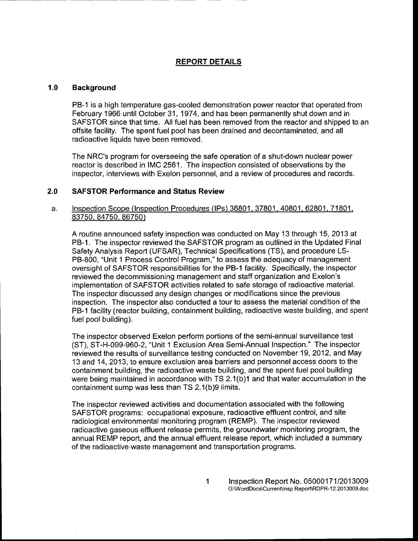### REPORT DETAILS

### 1.0 Background

PB-1 is a high temperature gas-cooled demonstration power reactor that operated from February 1966 until October 31, 1974, and has been permanently shut down and in SAFSTOR since that time. All fuel has been removed from the reactor and shipped to an offsite facility. The spent fuel pool has been drained and decontaminated, and all radioactive liquids have been removed.

The NRC's program for overseeing the safe operation of a shut-down nuclear power reactor is described in IMC 2561. The inspection consisted of observations by the inspector, interviews with Exelon personnel, and a review of procedures and records.

### SAFSTOR Performance and Status Review 2.0

### lnspection Scope (lnspection Procedures (lPs) 36801.37801.40801.62801.71801. 83750, 84750. 86750) a.

A routine announced safety inspection was conducted on May 13 through 15, 2013 at PB-1. The inspector reviewed the SAFSTOR program as outlined in the Updated Final Safety Analysis Report (UFSAR), Technical Specifications (TS), and procedure LS-PB-800, "Unit 1 Process Control Program," to assess the adequacy of management oversight of SAFSTOR responsibilities for the PB-1 facility. Specifically, the inspector reviewed the decommissioning management and staff organization and Exelon's implementation of SAFSTOR activities related to safe storage of radioactive material. The inspector discussed any design changes or modifications since the previous inspection. The inspector also conducted a tour to assess the material condition of the PB-1 facility (reactor building, containment building, radioactive waste building, and spent fuel pool building).

The inspector observed Exelon perform portions of the semi-annual surveillance test (ST), ST-H-099-960-2, "Unit 1 Exclusion Area Semi-Annual lnspection." The inspector reviewed the results of surveillance testing conducted on November '19, 2012, and May 13 and 14,2013, to ensure exclusion area barriers and personnelaccess doors to the containment building, the radioactive waste building, and the spent fuel pool building were being maintained in accordance with TS 2.1(b)1 and that water accumulation in the containment sump was less than TS 2.1(b)g limits.

The inspector reviewed activities and documentation associated with the following SAFSTOR programs: occupational exposure, radioactive effluent control, and site radiological environmental monitoring program (REMP). The inspector reviewed radioactive gaseous effluent release permits, the groundwater monitoring program, the annual REMP report, and the annual effluent release report, which included a summary of the radioactive.waste management and transportation programs.

 $\mathbf{1}$ 

Inspection Report No. 05000171/2013009 G:\WordDocs\Current\lnsp Report\RDPR-1 2.20 1 3009.doc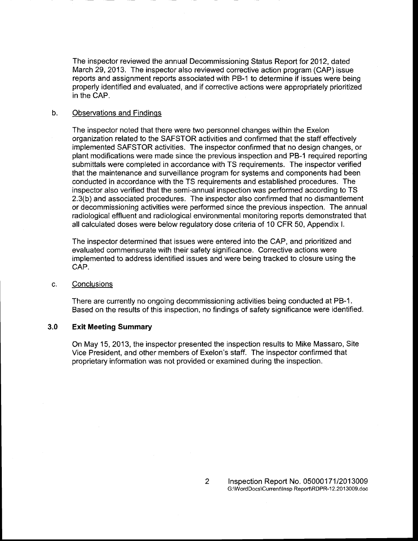The inspector reviewed the annual Decommissioning Status Report for 2012, dated March 29,2013. The inspector also reviewed corrective action program (CAP) issue reports and assignment reports associated with PB-1 to determine if issues were being properly identified and evaluated, and if corrective actions were appropriately prioritized in the CAP.

### b. Observations and Findinqs

The inspector noted that there were two personnel changes within the Exelon organization related to the SAFSTOR activities and confirmed that the staff effectively implemented SAFSTOR activities. The inspector confirmed that no design changes, or plant modifications were made since the previous inspection and PB-1 required reporting submittals were completed in accordance with TS requirements. The inspector verified that the maintenance and surveillance program for systems and components had been conducted in accordance with the TS requirements and established procedures. The inspector also verified that the semi-annual inspection was performed according to TS 2.3(b) and associated procedures. The inspector also confirmed that no dismantlement or decommissioning activities were performed since the previous inspection. The annual radiological effluent and radiological environmental monitoring reports demonstrated that all calculated doses were below regulatory dose criteria of 10 CFR 50, Appendix <sup>L</sup>

The inspector determined that issues were entered into the CAP, and prioritized and evaluated commensurate with their safety significance. Corrective actions were implemented to address identified issues and were being tracked to closure using the CAP.

#### **Conclusions** G.

There are currently no ongoing decommissioning activities being conducted at PB-1. Based on the results of this inspection, no findings of safety significance were identified.

### Exit Meeting Summary 3.0

On May 15,2013, the inspector presented the inspection results to Mike Massaro, Site Vice President, and other members of Exelon's staff. The inspector confirmed that proprietary information was not provided or examined during the inspection.

 $\overline{2}$ 

lnspection Report No. 050001 7 1 12013009 G:\Word Docs\Current\lnsp Reoort\RDPR-1 2.20 1 3009.doc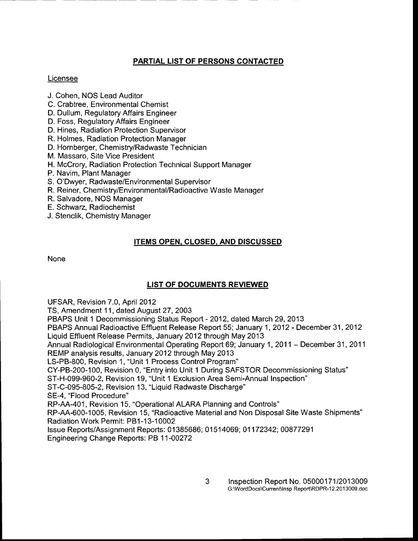## PARTIAL LIST OF PERSONS CONTACTED

## Licensee

- J. Cohen, NOS Lead Auditor
- C. Crabtree, Environmental Chemist
- D. Dullum, Regulatory Affairs Engineer
- D. Foss, Regulatory Affairs Engineer
- D. Hines, Radiation Protection Supervisor
- R. Holmes, Radiation Protection Manager
- D. Hornberger, Chemistry/Radwaste Technician
- M. Massaro, Site Vice President
- H. McCrory, Radiation Protection Technical Support Manager
- P. Navim, Plant Manager
- S. O'Dwyer, Radwaste/Environmental Supervisor
- R. Reiner, Chemistry/Environmental/Radioactive Waste Manager
- R. Salvadore, NOS Manager
- E. Schwarz, Radiochemist
- J. Stenclik, Chemistry Manager

## ITEMS OPEN. CLOSED. AND DISCUSSED

None

### LIST OF DOCUMENTS REVIEWED

UFSAR, Revision 7.0, April 2012

TS, Amendment 11, dated August 27, 2003

PBAPS Unit 1 Decommissioning Status Report - 2012, dated March 29, 2013

PBAPS Annual Radioactive Effluent Release Report 55; January 1, 2012 - December 31,2012 Liquid Effluent Release Permits, January 2012 through May 2013

Annual Radiological Environmental Operating Report 69; January 1, 2011 - December 31, 2011 REMP analysis results, January 2Q12 through May 2013

LS-PB-800, Revision 1, "Unit 1 Process Control Program"

CY-PB-200-100, Revision 0, "Entry into Unit 1 During SAFSTOR Decommissioning Status"

ST-H-099-960-2, Revision 19, "Unit 1 Exclusion Area Semi-Annual lnspection"

ST-C-095-805-2, Revision 13, "Liquid Radwaste Discharge"

SE-4, "Flood Procedure"

RP-AA-401, Revision 15, "Operational ALARA Planning and Controls"

RP-AA-600-1005, Revision 15, "Radioactive Material and Non Disposal Site Waste Shipments" Radiation Work Permit: PB1-13-10002

lssue Reports/Assignment Reports: 0 1 385686; 0 1 5 1 4069; 01 17 2342; 00877291 Engineering Change Reports: PB 11-00272

> 3 lnspection Report No. 0500017112013009 G:\WordDocs\Current\lnsp Report\RDPR-1 2.20 1 3009.doc